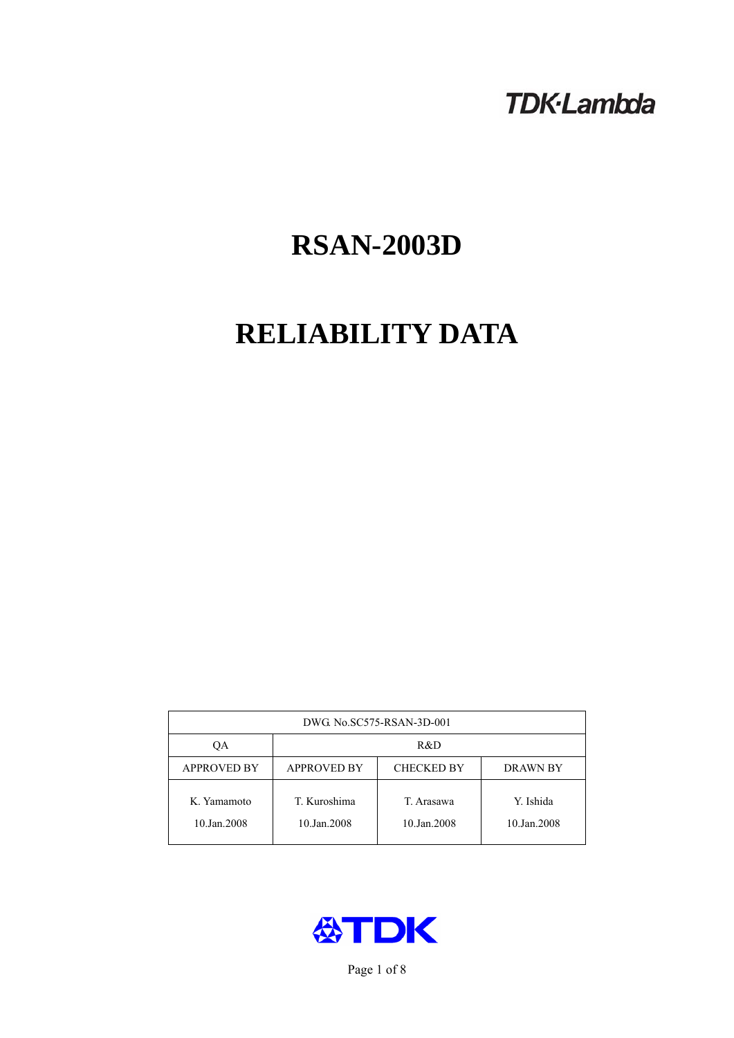## **TDK-Lambda**

# **RSAN-2003D**

# **RELIABILITY DATA**

| DWG. No.SC575-RSAN-3D-001  |                                                            |                           |                          |  |  |
|----------------------------|------------------------------------------------------------|---------------------------|--------------------------|--|--|
| ОA                         | R&D                                                        |                           |                          |  |  |
| <b>APPROVED BY</b>         | <b>APPROVED BY</b><br><b>CHECKED BY</b><br><b>DRAWN BY</b> |                           |                          |  |  |
| K. Yamamoto<br>10.Jan.2008 | T. Kuroshima<br>10.Jan.2008                                | T. Arasawa<br>10.Jan.2008 | Y. Ishida<br>10.Jan.2008 |  |  |



Page 1 of 8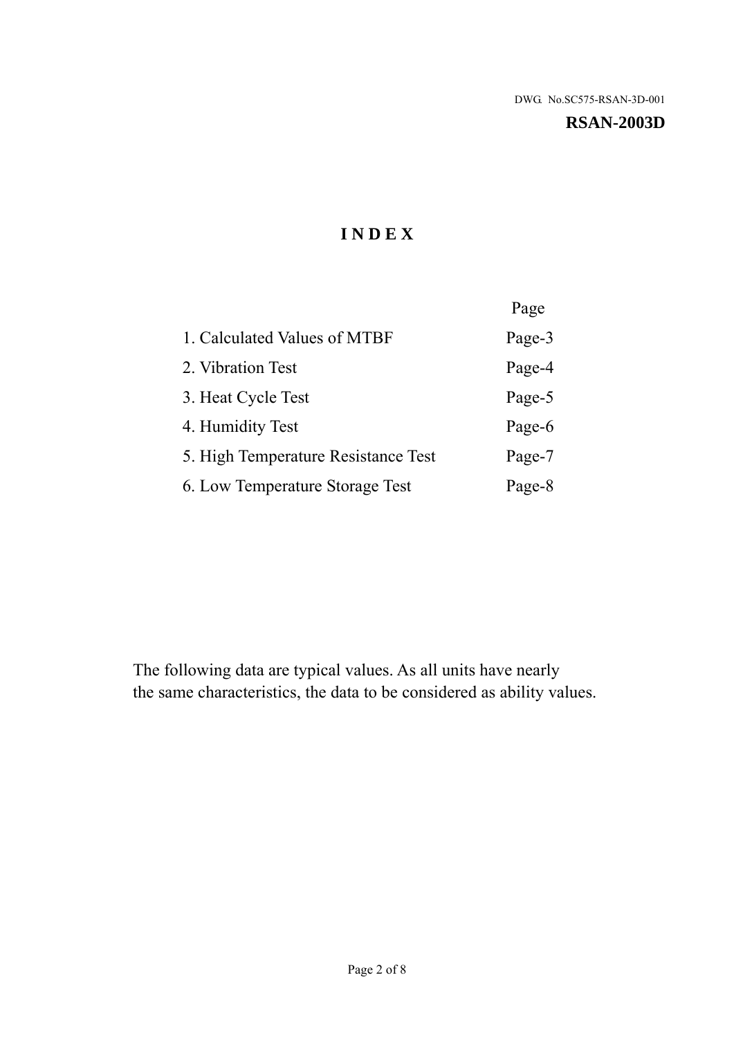#### **RSAN-2003D**

## **I N D E X**

|                                     | Page   |
|-------------------------------------|--------|
| 1. Calculated Values of MTBF        | Page-3 |
| 2. Vibration Test                   | Page-4 |
| 3. Heat Cycle Test                  | Page-5 |
| 4. Humidity Test                    | Page-6 |
| 5. High Temperature Resistance Test | Page-7 |
| 6. Low Temperature Storage Test     | Page-8 |

The following data are typical values. As all units have nearly the same characteristics, the data to be considered as ability values.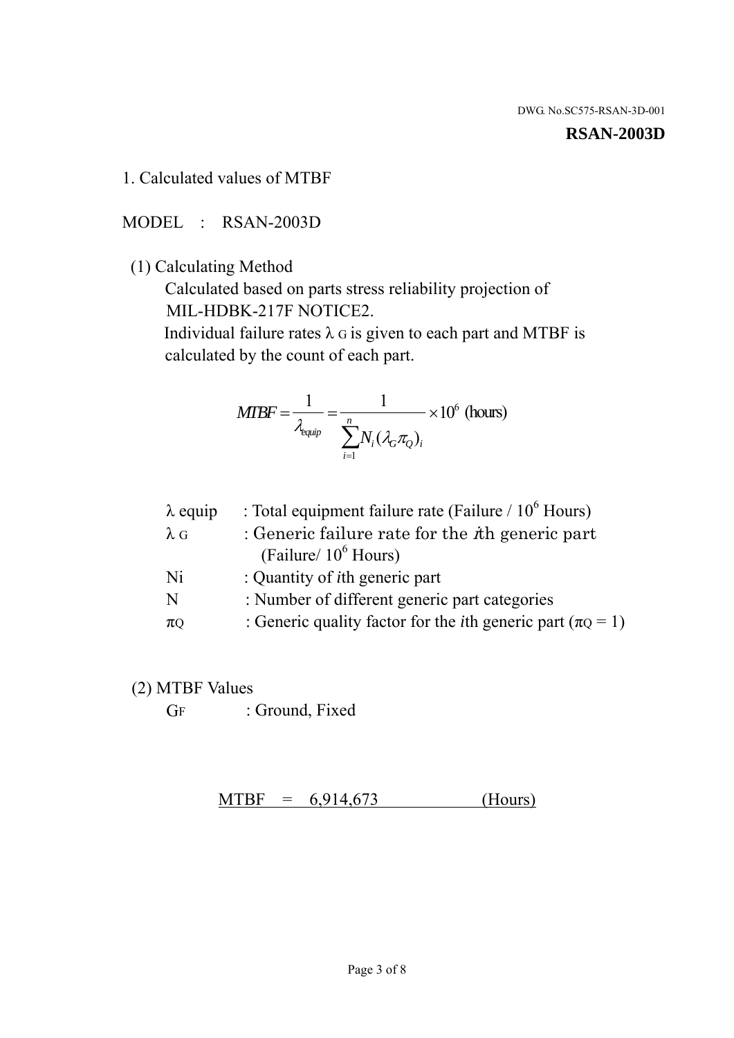1. Calculated values of MTBF

MODEL : RSAN-2003D

(1) Calculating Method

 Calculated based on parts stress reliability projection of MIL-HDBK-217F NOTICE2.

Individual failure rates  $\lambda$  G is given to each part and MTBF is calculated by the count of each part.

$$
MTBF = \frac{1}{\lambda_{\text{equip}}} = \frac{1}{\sum_{i=1}^{n} N_i (\lambda_G \pi_Q)_i} \times 10^6 \text{ (hours)}
$$

| $\lambda$ equip | : Total equipment failure rate (Failure $/ 10^6$ Hours)                   |
|-----------------|---------------------------------------------------------------------------|
| $\lambda$ G     | : Generic failure rate for the $\hbar$ generic part                       |
|                 | (Failure/ $10^6$ Hours)                                                   |
| Ni              | : Quantity of <i>i</i> th generic part                                    |
| N               | : Number of different generic part categories                             |
| $\pi$ Q         | : Generic quality factor for the <i>i</i> th generic part ( $\pi Q = 1$ ) |

- (2) MTBF Values
	- GF : Ground, Fixed

 $MTBF = 6,914,673$  (Hours)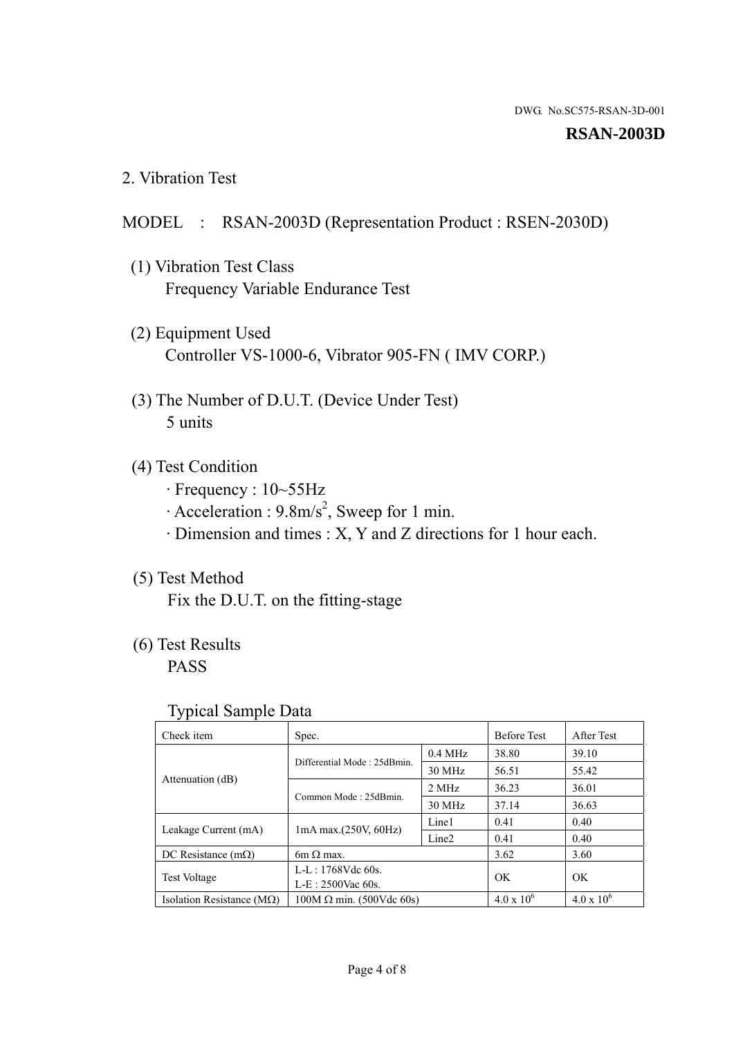#### **RSAN-2003D**

2. Vibration Test

#### MODEL : RSAN-2003D (Representation Product : RSEN-2030D)

- (1) Vibration Test Class Frequency Variable Endurance Test
- (2) Equipment Used Controller VS-1000-6, Vibrator 905-FN ( IMV CORP.)
- (3) The Number of D.U.T. (Device Under Test) 5 units
- (4) Test Condition
	- · Frequency : 10~55Hz
	- $\cdot$  Acceleration : 9.8m/s<sup>2</sup>, Sweep for 1 min.
	- · Dimension and times : X, Y and Z directions for 1 hour each.

## (5) Test Method

Fix the D.U.T. on the fitting-stage

## (6) Test Results

PASS

#### Typical Sample Data

| ັ່                                 |                                 |                   |                     |                   |
|------------------------------------|---------------------------------|-------------------|---------------------|-------------------|
| Check item                         | Spec.                           |                   | <b>Before Test</b>  | After Test        |
|                                    | Differential Mode: 25dBmin.     | $0.4$ MHz         | 38.80               | 39.10             |
|                                    |                                 | 30 MHz            | 56.51               | 55.42             |
| Attenuation (dB)                   | Common Mode: 25dBmin.           | 2 MHz             | 36.23               | 36.01             |
|                                    |                                 | 30 MHz            | 37.14               | 36.63             |
| Leakage Current (mA)               | $1mA$ max. $(250V, 60Hz)$       | Line1             | 0.41                | 0.40              |
|                                    |                                 | Line <sub>2</sub> | 0.41                | 0.40              |
| DC Resistance $(m\Omega)$          | 6m $\Omega$ max.                |                   | 3.62                | 3.60              |
| <b>Test Voltage</b>                | $L-L: 1768Vdc$ 60s.             |                   | OK                  | OK.               |
|                                    | $L-E: 2500$ Vac 60s.            |                   |                     |                   |
| Isolation Resistance ( $M\Omega$ ) | $100M \Omega$ min. (500Vdc 60s) |                   | $4.0 \times 10^{6}$ | $4.0 \times 10^6$ |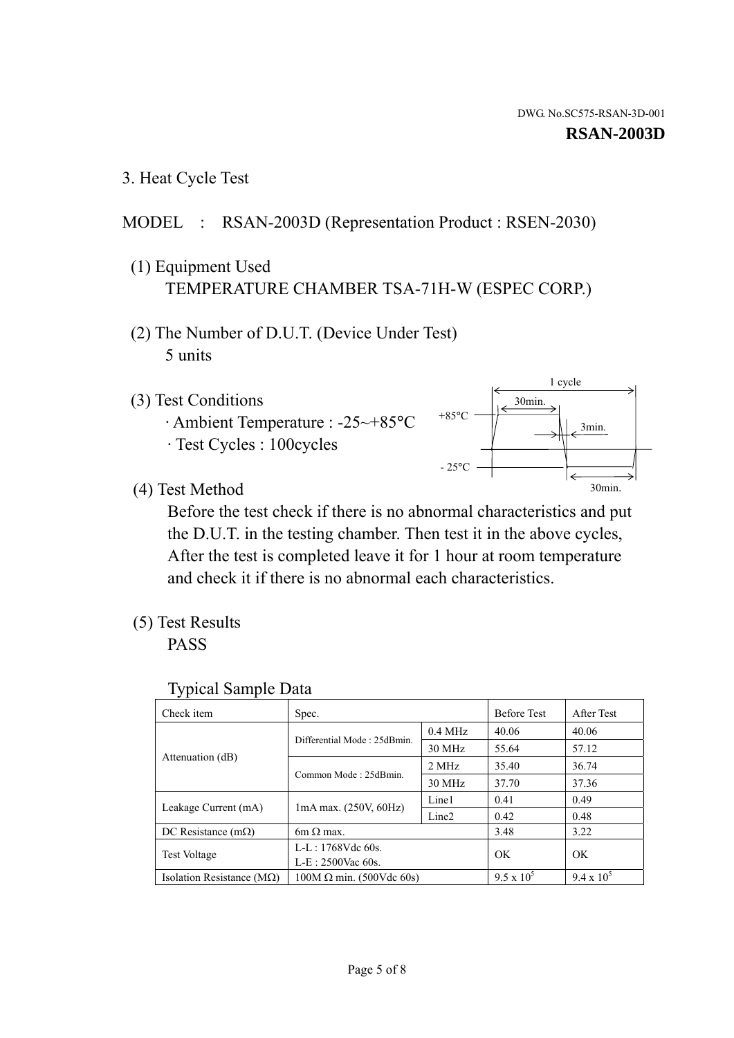3. Heat Cycle Test

### MODEL : RSAN-2003D (Representation Product : RSEN-2030)

- (1) Equipment Used TEMPERATURE CHAMBER TSA-71H-W (ESPEC CORP.)
- (2) The Number of D.U.T. (Device Under Test) 5 units
- (3) Test Conditions
	- · Ambient Temperature : -25~+85°C · Test Cycles : 100cycles



(4) Test Method

 Before the test check if there is no abnormal characteristics and put the D.U.T. in the testing chamber. Then test it in the above cycles, After the test is completed leave it for 1 hour at room temperature and check it if there is no abnormal each characteristics.

(5) Test Results

PASS

| <b>Typical Sample Data</b> |  |  |
|----------------------------|--|--|
|----------------------------|--|--|

| Check item                    | Spec.                                                   |           | <b>Before Test</b> | After Test        |
|-------------------------------|---------------------------------------------------------|-----------|--------------------|-------------------|
|                               |                                                         | $0.4$ MHz | 40.06              | 40.06             |
|                               | Differential Mode: 25dBmin.                             | 30 MHz    | 55.64              | 57.12             |
| Attenuation (dB)              | Common Mode: 25dBmin.                                   | 2 MHz     | 35.40              | 36.74             |
|                               |                                                         | 30 MHz    | 37.70              | 37.36             |
|                               | Line1<br>$1mA$ max. $(250V, 60Hz)$<br>Line <sub>2</sub> |           | 0.41               | 0.49              |
| Leakage Current (mA)          |                                                         |           | 0.42               | 0.48              |
| DC Resistance $(m\Omega)$     | $6m \Omega$ max.                                        |           | 3.48               | 3.22              |
|                               | L-L: $1768V$ de $60s$ .                                 |           | OK                 | OK                |
| <b>Test Voltage</b>           | $L-E: 2500$ Vac 60s.                                    |           |                    |                   |
| Isolation Resistance ( $MQ$ ) | $100M \Omega$ min. (500Vdc 60s)                         |           | $9.5 \times 10^5$  | $9.4 \times 10^5$ |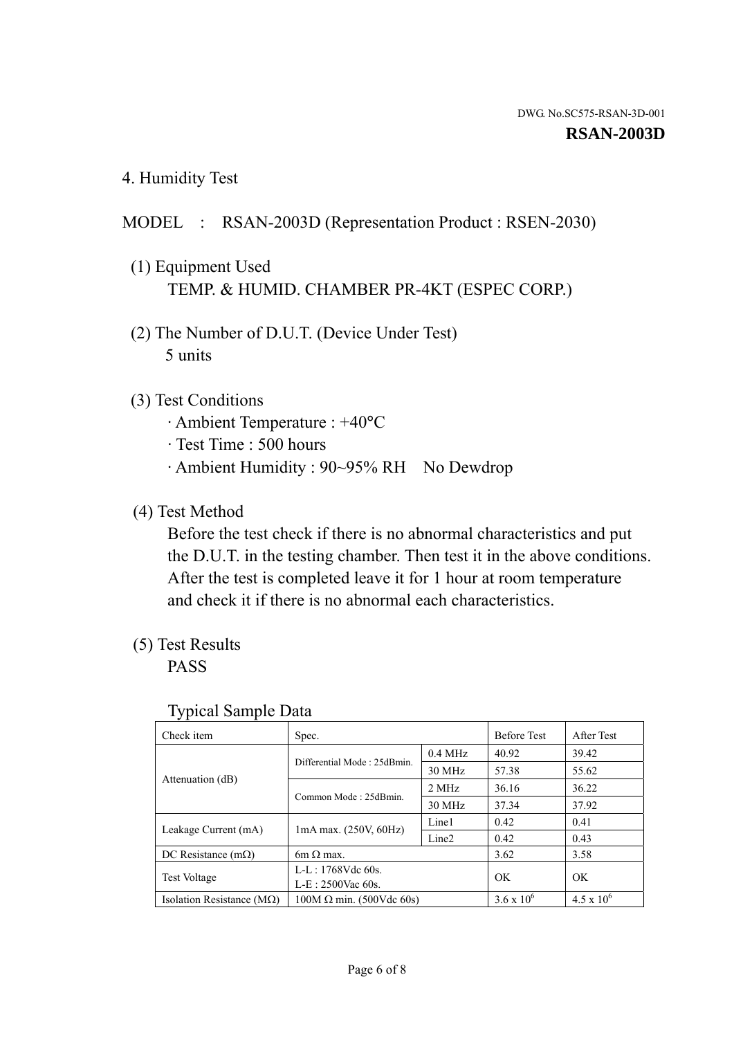4. Humidity Test

## MODEL : RSAN-2003D (Representation Product : RSEN-2030)

- (1) Equipment Used TEMP. & HUMID. CHAMBER PR-4KT (ESPEC CORP.)
- (2) The Number of D.U.T. (Device Under Test) 5 units

### (3) Test Conditions

- · Ambient Temperature : +40°C
- · Test Time : 500 hours
- · Ambient Humidity : 90~95% RH No Dewdrop

## (4) Test Method

 Before the test check if there is no abnormal characteristics and put the D.U.T. in the testing chamber. Then test it in the above conditions. After the test is completed leave it for 1 hour at room temperature and check it if there is no abnormal each characteristics.

## (5) Test Results

PASS

| ╯▴                                 |                                 |                   |                     |                     |
|------------------------------------|---------------------------------|-------------------|---------------------|---------------------|
| Check item                         | Spec.                           |                   | <b>Before Test</b>  | After Test          |
|                                    | Differential Mode: 25dBmin.     | $0.4$ MHz         | 40.92               | 39.42               |
|                                    |                                 | 30 MHz            | 57.38               | 55.62               |
| Attenuation (dB)                   | Common Mode: 25dBmin.           | 2 MHz             | 36.16               | 36.22               |
|                                    |                                 | 30 MHz            | 37.34               | 37.92               |
|                                    |                                 | Line1             | 0.42                | 0.41                |
| Leakage Current (mA)               | $1mA$ max. $(250V, 60Hz)$       | Line <sub>2</sub> | 0.42                | 0.43                |
| DC Resistance $(m\Omega)$          | $6m \Omega$ max.                |                   | 3.62                | 3.58                |
| <b>Test Voltage</b>                | $L-L: 1768Vdc$ 60s.             |                   | OK                  | OK                  |
|                                    | $L-E: 2500$ Vac 60s.            |                   |                     |                     |
| Isolation Resistance ( $M\Omega$ ) | $100M \Omega$ min. (500Vdc 60s) |                   | $3.6 \times 10^{6}$ | $4.5 \times 10^{6}$ |

#### Typical Sample Data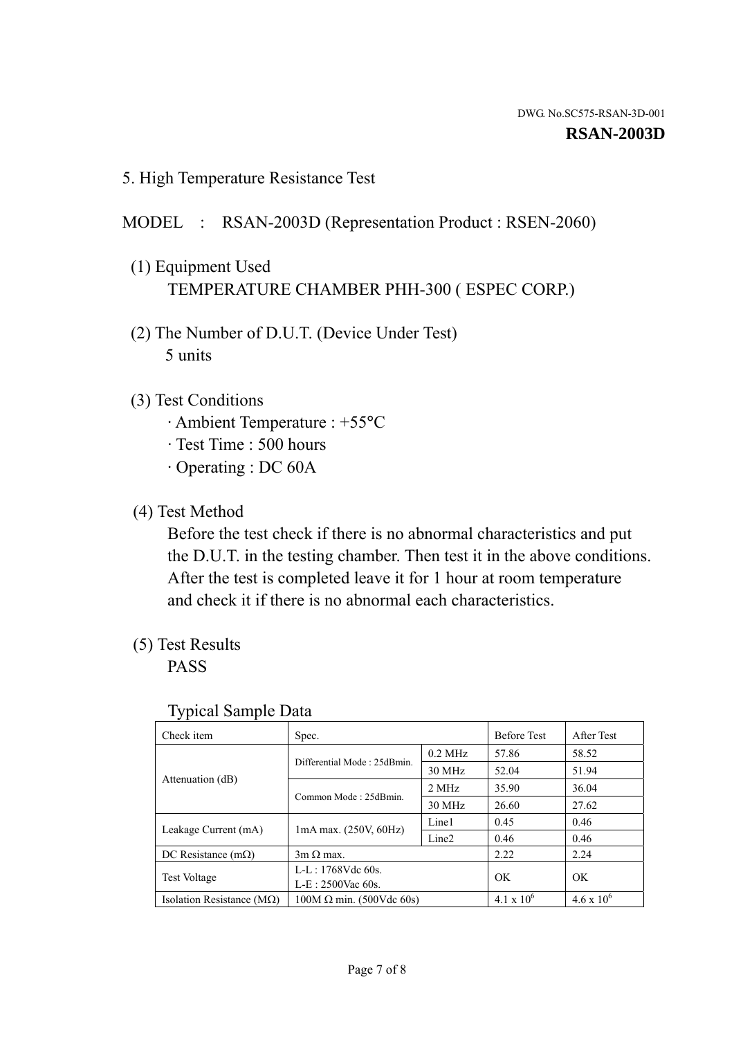5. High Temperature Resistance Test

#### MODEL : RSAN-2003D (Representation Product : RSEN-2060)

- (1) Equipment Used TEMPERATURE CHAMBER PHH-300 ( ESPEC CORP.)
- (2) The Number of D.U.T. (Device Under Test) 5 units
- (3) Test Conditions
	- · Ambient Temperature : +55°C
	- · Test Time : 500 hours
	- · Operating : DC 60A
- (4) Test Method

 Before the test check if there is no abnormal characteristics and put the D.U.T. in the testing chamber. Then test it in the above conditions. After the test is completed leave it for 1 hour at room temperature and check it if there is no abnormal each characteristics.

(5) Test Results

PASS

| ╯┸                                 |                                                         |           |                     |                     |
|------------------------------------|---------------------------------------------------------|-----------|---------------------|---------------------|
| Check item                         | Spec.                                                   |           | <b>Before Test</b>  | After Test          |
|                                    | Differential Mode: 25dBmin.                             | $0.2$ MHz | 57.86               | 58.52               |
|                                    |                                                         | 30 MHz    | 52.04               | 51.94               |
| Attenuation (dB)                   | Common Mode: 25dBmin.                                   | 2 MHz     | 35.90               | 36.04               |
|                                    |                                                         | 30 MHz    | 26.60               | 27.62               |
| Leakage Current (mA)               | Line1<br>$1mA$ max. $(250V, 60Hz)$<br>Line <sub>2</sub> |           | 0.45                | 0.46                |
|                                    |                                                         |           | 0.46                | 0.46                |
| DC Resistance $(m\Omega)$          | $3m \Omega$ max.                                        |           | 2.22                | 2.24                |
| <b>Test Voltage</b>                | $L-L: 1768Vdc$ 60s.                                     |           | OK                  | OK                  |
|                                    | $L-E: 2500$ Vac 60s.                                    |           |                     |                     |
| Isolation Resistance ( $M\Omega$ ) | $100M \Omega$ min. (500Vdc 60s)                         |           | $4.1 \times 10^{6}$ | $4.6 \times 10^{6}$ |

#### Typical Sample Data